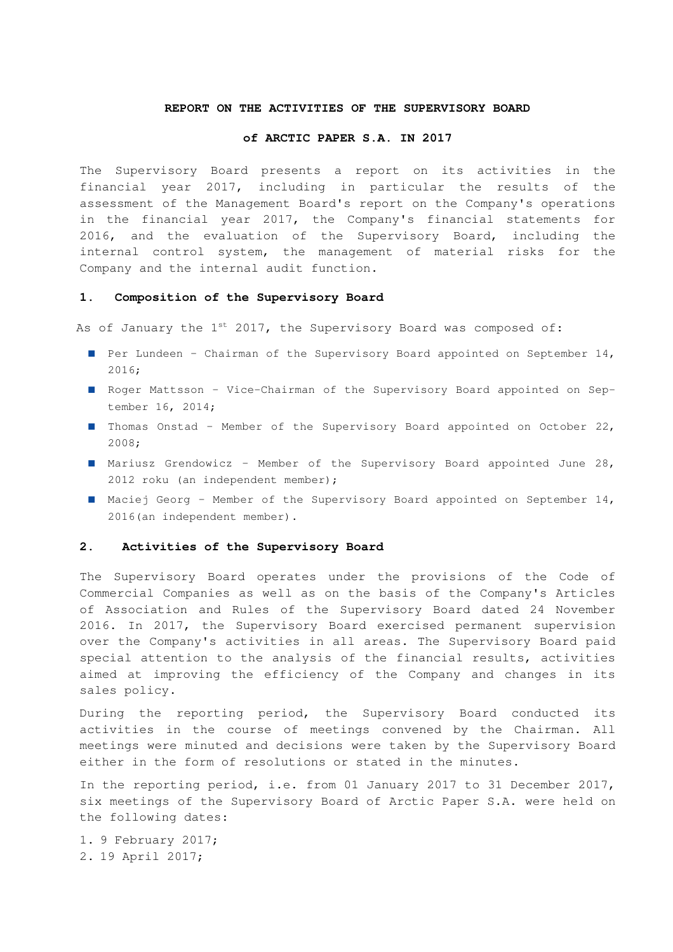#### **REPORT ON THE ACTIVITIES OF THE SUPERVISORY BOARD**

#### **of ARCTIC PAPER S.A. IN 2017**

The Supervisory Board presents a report on its activities in the financial year 2017, including in particular the results of the assessment of the Management Board's report on the Company's operations in the financial year 2017, the Company's financial statements for 2016, and the evaluation of the Supervisory Board, including the internal control system, the management of material risks for the Company and the internal audit function.

#### **1. Composition of the Supervisory Board**

As of January the  $1^{st}$  2017, the Supervisory Board was composed of:

- Per Lundeen Chairman of the Supervisory Board appointed on September 14, 2016;
- Roger Mattsson Vice-Chairman of the Supervisory Board appointed on September 16, 2014;
- Thomas Onstad Member of the Supervisory Board appointed on October 22, 2008;
- Mariusz Grendowicz Member of the Supervisory Board appointed June 28, 2012 roku (an independent member);
- Maciej Georg Member of the Supervisory Board appointed on September 14, 2016(an independent member).

# **2. Activities of the Supervisory Board**

The Supervisory Board operates under the provisions of the Code of Commercial Companies as well as on the basis of the Company's Articles of Association and Rules of the Supervisory Board dated 24 November 2016. In 2017, the Supervisory Board exercised permanent supervision over the Company's activities in all areas. The Supervisory Board paid special attention to the analysis of the financial results, activities aimed at improving the efficiency of the Company and changes in its sales policy.

During the reporting period, the Supervisory Board conducted its activities in the course of meetings convened by the Chairman. All meetings were minuted and decisions were taken by the Supervisory Board either in the form of resolutions or stated in the minutes.

In the reporting period, i.e. from 01 January 2017 to 31 December 2017, six meetings of the Supervisory Board of Arctic Paper S.A. were held on the following dates:

1. 9 February 2017; 2. 19 April 2017;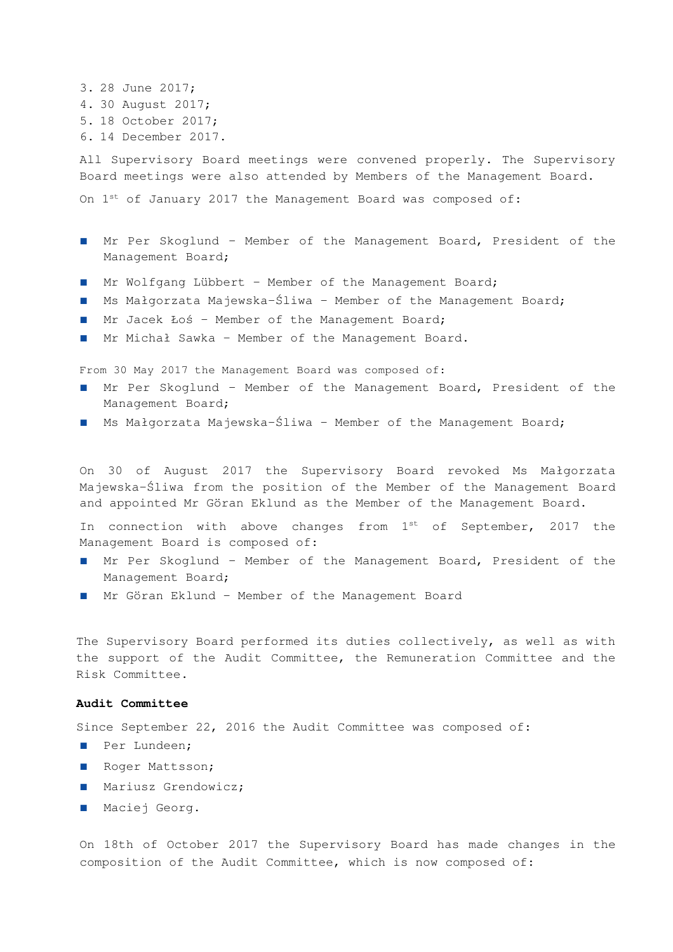```
3. 28 June 2017; 
4. 30 August 2017; 
5. 18 October 2017; 
6. 14 December 2017.
```
All Supervisory Board meetings were convened properly. The Supervisory Board meetings were also attended by Members of the Management Board.

On  $1^{st}$  of January 2017 the Management Board was composed of:

- Mr Per Skoglund Member of the Management Board, President of the Management Board;
- Mr Wolfgang Lübbert Member of the Management Board;
- Ms Małgorzata Majewska-Śliwa Member of the Management Board;
- Mr Jacek Łoś Member of the Management Board;
- Mr Michał Sawka Member of the Management Board.

From 30 May 2017 the Management Board was composed of:

- Mr Per Skoglund Member of the Management Board, President of the Management Board;
- Ms Małgorzata Majewska-Śliwa Member of the Management Board;

On 30 of August 2017 the Supervisory Board revoked Ms Małgorzata Majewska-Śliwa from the position of the Member of the Management Board and appointed Mr Göran Eklund as the Member of the Management Board.

In connection with above changes from  $1^{st}$  of September, 2017 the Management Board is composed of:

- Mr Per Skoglund Member of the Management Board, President of the Management Board;
- Mr Göran Eklund Member of the Management Board

The Supervisory Board performed its duties collectively, as well as with the support of the Audit Committee, the Remuneration Committee and the Risk Committee.

### **Audit Committee**

Since September 22, 2016 the Audit Committee was composed of:

- Per Lundeen;
- Roger Mattsson;
- Mariusz Grendowicz;
- Maciej Georg.

On 18th of October 2017 the Supervisory Board has made changes in the composition of the Audit Committee, which is now composed of: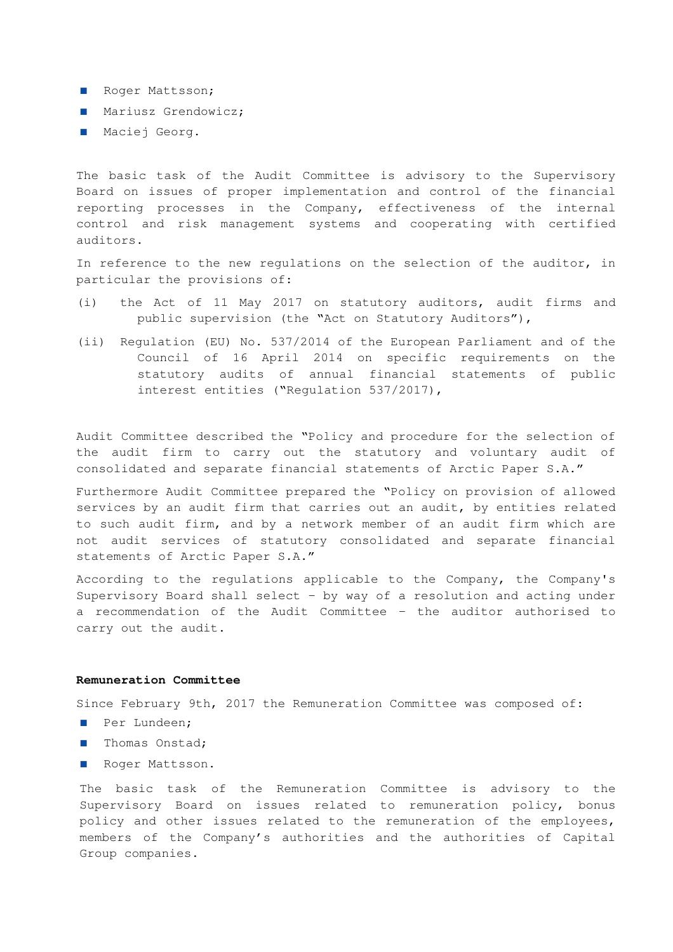- Roger Mattsson;
- Mariusz Grendowicz;
- Maciej Georg.

The basic task of the Audit Committee is advisory to the Supervisory Board on issues of proper implementation and control of the financial reporting processes in the Company, effectiveness of the internal control and risk management systems and cooperating with certified auditors.

In reference to the new regulations on the selection of the auditor, in particular the provisions of:

- (i) the Act of 11 May 2017 on statutory auditors, audit firms and public supervision (the "Act on Statutory Auditors"),
- (ii) Regulation (EU) No. 537/2014 of the European Parliament and of the Council of 16 April 2014 on specific requirements on the statutory audits of annual financial statements of public interest entities ("Regulation 537/2017),

Audit Committee described the "Policy and procedure for the selection of the audit firm to carry out the statutory and voluntary audit of consolidated and separate financial statements of Arctic Paper S.A."

Furthermore Audit Committee prepared the "Policy on provision of allowed services by an audit firm that carries out an audit, by entities related to such audit firm, and by a network member of an audit firm which are not audit services of statutory consolidated and separate financial statements of Arctic Paper S.A."

According to the regulations applicable to the Company, the Company's Supervisory Board shall select – by way of a resolution and acting under a recommendation of the Audit Committee – the auditor authorised to carry out the audit.

### **Remuneration Committee**

Since February 9th, 2017 the Remuneration Committee was composed of:

- Per Lundeen;
- Thomas Onstad;
- Roger Mattsson.

The basic task of the Remuneration Committee is advisory to the Supervisory Board on issues related to remuneration policy, bonus policy and other issues related to the remuneration of the employees, members of the Company's authorities and the authorities of Capital Group companies.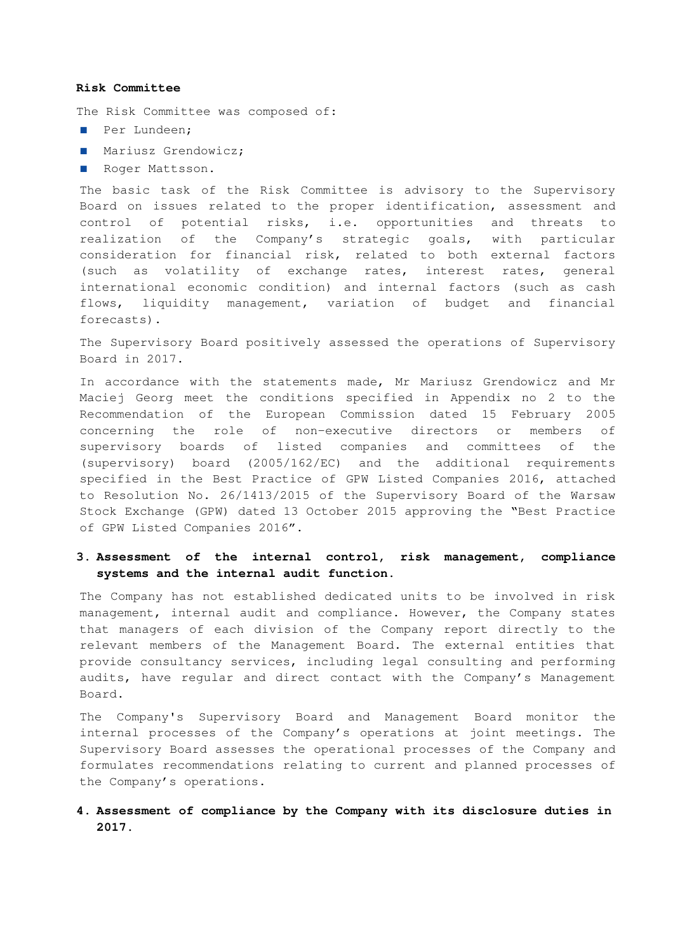#### **Risk Committee**

The Risk Committee was composed of:

- Per Lundeen;
- Mariusz Grendowicz;
- Roger Mattsson.

The basic task of the Risk Committee is advisory to the Supervisory Board on issues related to the proper identification, assessment and control of potential risks, i.e. opportunities and threats to realization of the Company's strategic goals, with particular consideration for financial risk, related to both external factors (such as volatility of exchange rates, interest rates, general international economic condition) and internal factors (such as cash flows, liquidity management, variation of budget and financial forecasts).

The Supervisory Board positively assessed the operations of Supervisory Board in 2017.

In accordance with the statements made, Mr Mariusz Grendowicz and Mr Maciej Georg meet the conditions specified in Appendix no 2 to the Recommendation of the European Commission dated 15 February 2005 concerning the role of non-executive directors or members of supervisory boards of listed companies and committees of the (supervisory) board (2005/162/EC) and the additional requirements specified in the Best Practice of GPW Listed Companies 2016, attached to Resolution No. 26/1413/2015 of the Supervisory Board of the Warsaw Stock Exchange (GPW) dated 13 October 2015 approving the "Best Practice of GPW Listed Companies 2016".

# **3. Assessment of the internal control, risk management, compliance systems and the internal audit function.**

The Company has not established dedicated units to be involved in risk management, internal audit and compliance. However, the Company states that managers of each division of the Company report directly to the relevant members of the Management Board. The external entities that provide consultancy services, including legal consulting and performing audits, have regular and direct contact with the Company's Management Board.

The Company's Supervisory Board and Management Board monitor the internal processes of the Company's operations at joint meetings. The Supervisory Board assesses the operational processes of the Company and formulates recommendations relating to current and planned processes of the Company's operations.

## **4. Assessment of compliance by the Company with its disclosure duties in 2017.**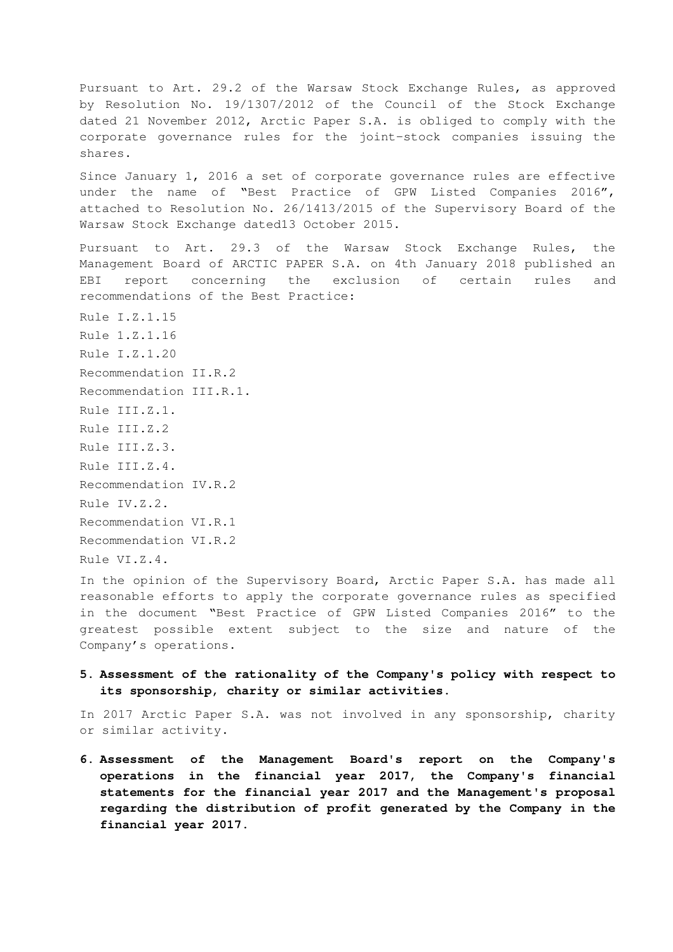Pursuant to Art. 29.2 of the Warsaw Stock Exchange Rules, as approved by Resolution No. 19/1307/2012 of the Council of the Stock Exchange dated 21 November 2012, Arctic Paper S.A. is obliged to comply with the corporate governance rules for the joint-stock companies issuing the shares.

Since January 1, 2016 a set of corporate governance rules are effective under the name of "Best Practice of GPW Listed Companies 2016", attached to Resolution No. 26/1413/2015 of the Supervisory Board of the Warsaw Stock Exchange dated13 October 2015.

Pursuant to Art. 29.3 of the Warsaw Stock Exchange Rules, the Management Board of ARCTIC PAPER S.A. on 4th January 2018 published an EBI report concerning the exclusion of certain rules and recommendations of the Best Practice:

Rule I.Z.1.15 Rule 1.Z.1.16 Rule I.Z.1.20 Recommendation II.R.2 Recommendation III.R.1. Rule III.Z.1. Rule III.Z.2 Rule III.Z.3. Rule III.Z.4. Recommendation IV.R.2 Rule IV.Z.2. Recommendation VI.R.1 Recommendation VI.R.2 Rule VI.Z.4.

In the opinion of the Supervisory Board, Arctic Paper S.A. has made all reasonable efforts to apply the corporate governance rules as specified in the document "Best Practice of GPW Listed Companies 2016" to the greatest possible extent subject to the size and nature of the Company's operations.

## **5. Assessment of the rationality of the Company's policy with respect to its sponsorship, charity or similar activities.**

In 2017 Arctic Paper S.A. was not involved in any sponsorship, charity or similar activity.

**6. Assessment of the Management Board's report on the Company's operations in the financial year 2017, the Company's financial statements for the financial year 2017 and the Management's proposal regarding the distribution of profit generated by the Company in the financial year 2017.**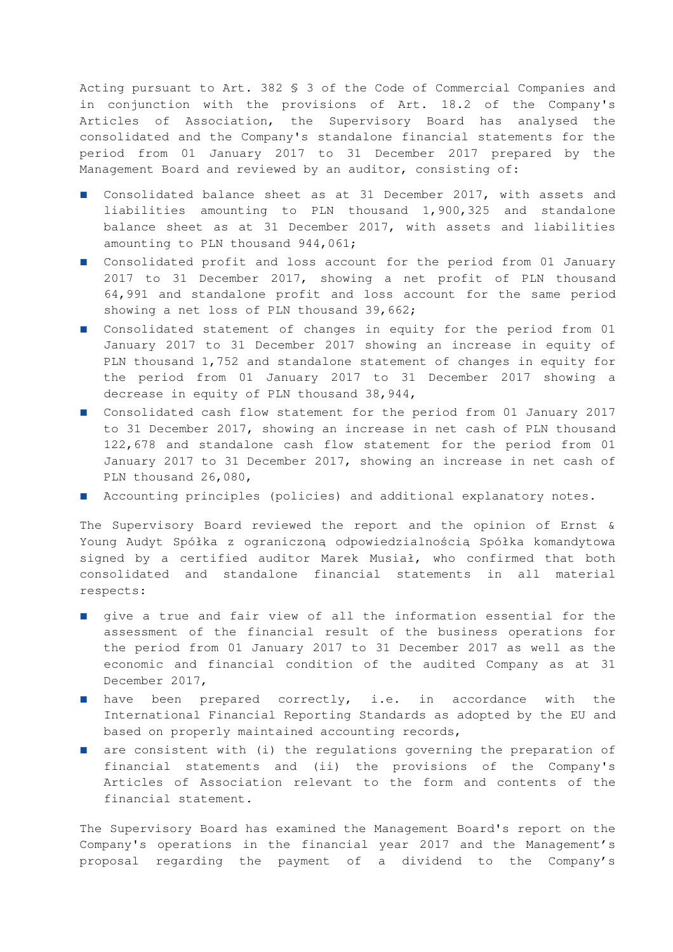Acting pursuant to Art. 382 § 3 of the Code of Commercial Companies and in conjunction with the provisions of Art. 18.2 of the Company's Articles of Association, the Supervisory Board has analysed the consolidated and the Company's standalone financial statements for the period from 01 January 2017 to 31 December 2017 prepared by the Management Board and reviewed by an auditor, consisting of:

- Consolidated balance sheet as at 31 December 2017, with assets and liabilities amounting to PLN thousand 1,900,325 and standalone balance sheet as at 31 December 2017, with assets and liabilities amounting to PLN thousand 944,061;
- Consolidated profit and loss account for the period from 01 January 2017 to 31 December 2017, showing a net profit of PLN thousand 64,991 and standalone profit and loss account for the same period showing a net loss of PLN thousand 39,662;
- Consolidated statement of changes in equity for the period from 01 January 2017 to 31 December 2017 showing an increase in equity of PLN thousand 1,752 and standalone statement of changes in equity for the period from 01 January 2017 to 31 December 2017 showing a decrease in equity of PLN thousand 38,944,
- Consolidated cash flow statement for the period from 01 January 2017 to 31 December 2017, showing an increase in net cash of PLN thousand 122,678 and standalone cash flow statement for the period from 01 January 2017 to 31 December 2017, showing an increase in net cash of PLN thousand 26,080,
- Accounting principles (policies) and additional explanatory notes.

The Supervisory Board reviewed the report and the opinion of Ernst & Young Audyt Spółka z ograniczoną odpowiedzialnością Spółka komandytowa signed by a certified auditor Marek Musiał, who confirmed that both consolidated and standalone financial statements in all material respects:

- give a true and fair view of all the information essential for the assessment of the financial result of the business operations for the period from 01 January 2017 to 31 December 2017 as well as the economic and financial condition of the audited Company as at 31 December 2017,
- have been prepared correctly, i.e. in accordance with the International Financial Reporting Standards as adopted by the EU and based on properly maintained accounting records,
- are consistent with (i) the regulations governing the preparation of financial statements and (ii) the provisions of the Company's Articles of Association relevant to the form and contents of the financial statement.

The Supervisory Board has examined the Management Board's report on the Company's operations in the financial year 2017 and the Management's proposal regarding the payment of a dividend to the Company's